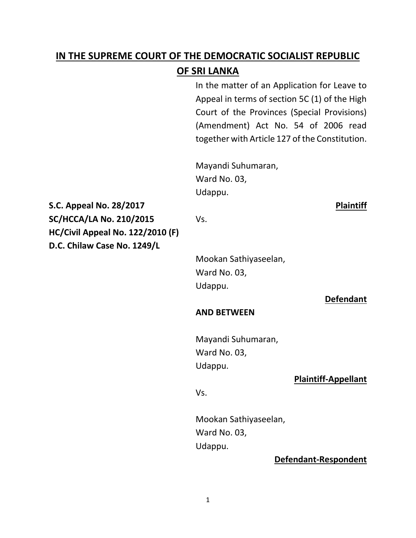# **IN THE SUPREME COURT OF THE DEMOCRATIC SOCIALIST REPUBLIC OF SRI LANKA**

In the matter of an Application for Leave to Appeal in terms of section 5C (1) of the High Court of the Provinces (Special Provisions) (Amendment) Act No. 54 of 2006 read together with Article 127 of the Constitution.

Mayandi Suhumaran, Ward No. 03, Udappu.

**S.C. Appeal No. 28/2017 Plaintiff SC/HCCA/LA No. 210/2015** Vs. **HC/Civil Appeal No. 122/2010 (F) D.C. Chilaw Case No. 1249/L**

Mookan Sathiyaseelan, Ward No. 03, Udappu.

**Defendant**

# **AND BETWEEN**

Mayandi Suhumaran, Ward No. 03, Udappu.

# **Plaintiff-Appellant**

Vs.

Mookan Sathiyaseelan, Ward No. 03, Udappu.

**Defendant-Respondent**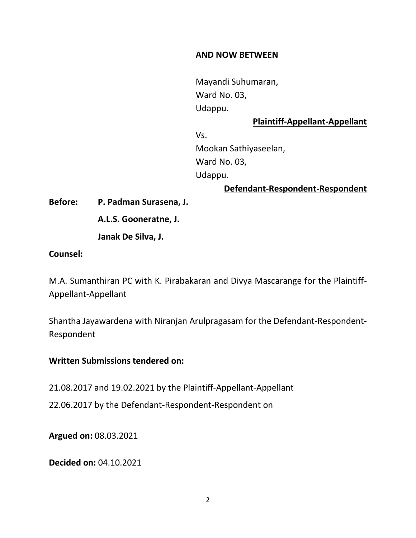# **AND NOW BETWEEN**

Mayandi Suhumaran, Ward No. 03, Udappu.

# **Plaintiff-Appellant-Appellant**

Vs. Mookan Sathiyaseelan, Ward No. 03, Udappu.

**Defendant-Respondent-Respondent**

**Before: P. Padman Surasena, J.**

**A.L.S. Gooneratne, J.**

**Janak De Silva, J.**

#### **Counsel:**

M.A. Sumanthiran PC with K. Pirabakaran and Divya Mascarange for the Plaintiff-Appellant-Appellant

Shantha Jayawardena with Niranjan Arulpragasam for the Defendant-Respondent-Respondent

# **Written Submissions tendered on:**

21.08.2017 and 19.02.2021 by the Plaintiff-Appellant-Appellant

22.06.2017 by the Defendant-Respondent-Respondent on

**Argued on:** 08.03.2021

**Decided on:** 04.10.2021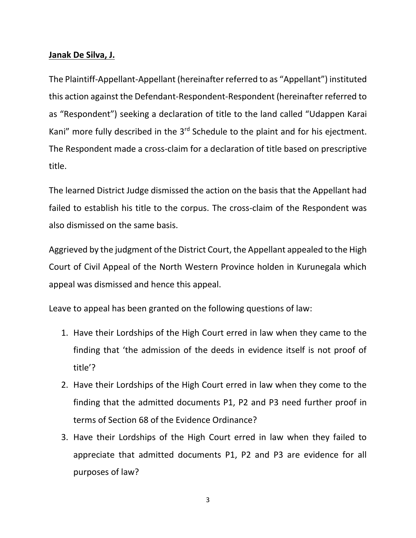# **Janak De Silva, J.**

The Plaintiff-Appellant-Appellant (hereinafter referred to as "Appellant") instituted this action against the Defendant-Respondent-Respondent (hereinafter referred to as "Respondent") seeking a declaration of title to the land called "Udappen Karai Kani" more fully described in the  $3<sup>rd</sup>$  Schedule to the plaint and for his ejectment. The Respondent made a cross-claim for a declaration of title based on prescriptive title.

The learned District Judge dismissed the action on the basis that the Appellant had failed to establish his title to the corpus. The cross-claim of the Respondent was also dismissed on the same basis.

Aggrieved by the judgment of the District Court, the Appellant appealed to the High Court of Civil Appeal of the North Western Province holden in Kurunegala which appeal was dismissed and hence this appeal.

Leave to appeal has been granted on the following questions of law:

- 1. Have their Lordships of the High Court erred in law when they came to the finding that 'the admission of the deeds in evidence itself is not proof of title'?
- 2. Have their Lordships of the High Court erred in law when they come to the finding that the admitted documents P1, P2 and P3 need further proof in terms of Section 68 of the Evidence Ordinance?
- 3. Have their Lordships of the High Court erred in law when they failed to appreciate that admitted documents P1, P2 and P3 are evidence for all purposes of law?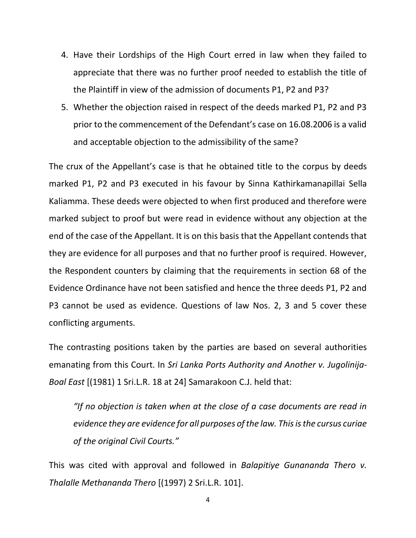- 4. Have their Lordships of the High Court erred in law when they failed to appreciate that there was no further proof needed to establish the title of the Plaintiff in view of the admission of documents P1, P2 and P3?
- 5. Whether the objection raised in respect of the deeds marked P1, P2 and P3 prior to the commencement of the Defendant's case on 16.08.2006 is a valid and acceptable objection to the admissibility of the same?

The crux of the Appellant's case is that he obtained title to the corpus by deeds marked P1, P2 and P3 executed in his favour by Sinna Kathirkamanapillai Sella Kaliamma. These deeds were objected to when first produced and therefore were marked subject to proof but were read in evidence without any objection at the end of the case of the Appellant. It is on this basis that the Appellant contends that they are evidence for all purposes and that no further proof is required. However, the Respondent counters by claiming that the requirements in section 68 of the Evidence Ordinance have not been satisfied and hence the three deeds P1, P2 and P3 cannot be used as evidence. Questions of law Nos. 2, 3 and 5 cover these conflicting arguments.

The contrasting positions taken by the parties are based on several authorities emanating from this Court. In *Sri Lanka Ports Authority and Another v. Jugolinija-Boal East* [(1981) 1 Sri.L.R. 18 at 24] Samarakoon C.J. held that:

*"If no objection is taken when at the close of a case documents are read in evidence they are evidence for all purposes of the law. This is the cursus curiae of the original Civil Courts."*

This was cited with approval and followed in *Balapitiye Gunananda Thero v. Thalalle Methananda Thero* [(1997) 2 Sri.L.R. 101].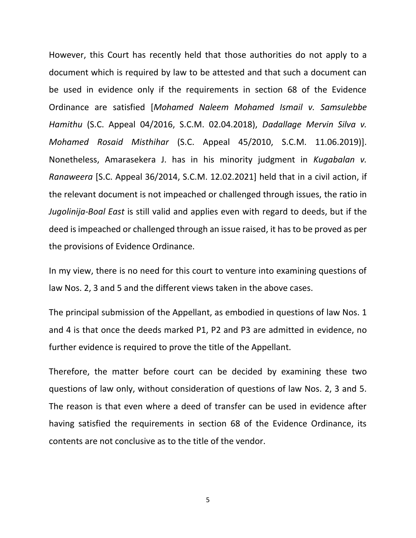However, this Court has recently held that those authorities do not apply to a document which is required by law to be attested and that such a document can be used in evidence only if the requirements in section 68 of the Evidence Ordinance are satisfied [*Mohamed Naleem Mohamed Ismail v. Samsulebbe Hamithu* (S.C. Appeal 04/2016, S.C.M. 02.04.2018), *Dadallage Mervin Silva v. Mohamed Rosaid Misthihar* (S.C. Appeal 45/2010, S.C.M. 11.06.2019)]. Nonetheless, Amarasekera J. has in his minority judgment in *Kugabalan v. Ranaweera* [S.C. Appeal 36/2014, S.C.M. 12.02.2021] held that in a civil action, if the relevant document is not impeached or challenged through issues, the ratio in *Jugolinija-Boal East* is still valid and applies even with regard to deeds, but if the deed is impeached or challenged through an issue raised, it has to be proved as per the provisions of Evidence Ordinance.

In my view, there is no need for this court to venture into examining questions of law Nos. 2, 3 and 5 and the different views taken in the above cases.

The principal submission of the Appellant, as embodied in questions of law Nos. 1 and 4 is that once the deeds marked P1, P2 and P3 are admitted in evidence, no further evidence is required to prove the title of the Appellant.

Therefore, the matter before court can be decided by examining these two questions of law only, without consideration of questions of law Nos. 2, 3 and 5. The reason is that even where a deed of transfer can be used in evidence after having satisfied the requirements in section 68 of the Evidence Ordinance, its contents are not conclusive as to the title of the vendor.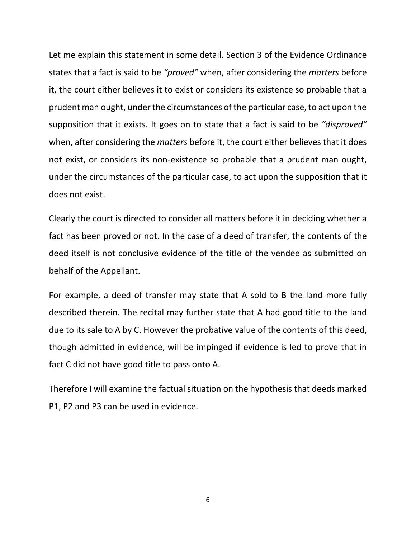Let me explain this statement in some detail. Section 3 of the Evidence Ordinance states that a fact is said to be *"proved"* when, after considering the *matters* before it, the court either believes it to exist or considers its existence so probable that a prudent man ought, under the circumstances of the particular case, to act upon the supposition that it exists. It goes on to state that a fact is said to be *"disproved"* when, after considering the *matters* before it, the court either believes that it does not exist, or considers its non-existence so probable that a prudent man ought, under the circumstances of the particular case, to act upon the supposition that it does not exist.

Clearly the court is directed to consider all matters before it in deciding whether a fact has been proved or not. In the case of a deed of transfer, the contents of the deed itself is not conclusive evidence of the title of the vendee as submitted on behalf of the Appellant.

For example, a deed of transfer may state that A sold to B the land more fully described therein. The recital may further state that A had good title to the land due to its sale to A by C. However the probative value of the contents of this deed, though admitted in evidence, will be impinged if evidence is led to prove that in fact C did not have good title to pass onto A.

Therefore I will examine the factual situation on the hypothesis that deeds marked P1, P2 and P3 can be used in evidence.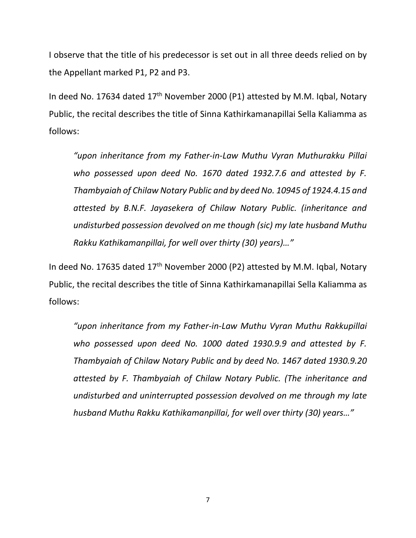I observe that the title of his predecessor is set out in all three deeds relied on by the Appellant marked P1, P2 and P3.

In deed No. 17634 dated 17<sup>th</sup> November 2000 (P1) attested by M.M. Iqbal, Notary Public, the recital describes the title of Sinna Kathirkamanapillai Sella Kaliamma as follows:

*"upon inheritance from my Father-in-Law Muthu Vyran Muthurakku Pillai who possessed upon deed No. 1670 dated 1932.7.6 and attested by F. Thambyaiah of Chilaw Notary Public and by deed No. 10945 of 1924.4.15 and attested by B.N.F. Jayasekera of Chilaw Notary Public. (inheritance and undisturbed possession devolved on me though (sic) my late husband Muthu Rakku Kathikamanpillai, for well over thirty (30) years)…"*

In deed No. 17635 dated 17<sup>th</sup> November 2000 (P2) attested by M.M. Igbal, Notary Public, the recital describes the title of Sinna Kathirkamanapillai Sella Kaliamma as follows:

*"upon inheritance from my Father-in-Law Muthu Vyran Muthu Rakkupillai who possessed upon deed No. 1000 dated 1930.9.9 and attested by F. Thambyaiah of Chilaw Notary Public and by deed No. 1467 dated 1930.9.20 attested by F. Thambyaiah of Chilaw Notary Public. (The inheritance and undisturbed and uninterrupted possession devolved on me through my late husband Muthu Rakku Kathikamanpillai, for well over thirty (30) years…"*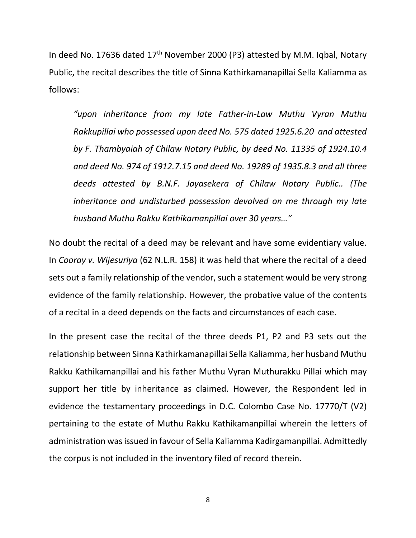In deed No. 17636 dated 17<sup>th</sup> November 2000 (P3) attested by M.M. Iqbal, Notary Public, the recital describes the title of Sinna Kathirkamanapillai Sella Kaliamma as follows:

*"upon inheritance from my late Father-in-Law Muthu Vyran Muthu Rakkupillai who possessed upon deed No. 575 dated 1925.6.20 and attested by F. Thambyaiah of Chilaw Notary Public, by deed No. 11335 of 1924.10.4 and deed No. 974 of 1912.7.15 and deed No. 19289 of 1935.8.3 and all three deeds attested by B.N.F. Jayasekera of Chilaw Notary Public.. (The inheritance and undisturbed possession devolved on me through my late husband Muthu Rakku Kathikamanpillai over 30 years…"*

No doubt the recital of a deed may be relevant and have some evidentiary value. In *Cooray v. Wijesuriya* (62 N.L.R. 158) it was held that where the recital of a deed sets out a family relationship of the vendor, such a statement would be very strong evidence of the family relationship. However, the probative value of the contents of a recital in a deed depends on the facts and circumstances of each case.

In the present case the recital of the three deeds P1, P2 and P3 sets out the relationship between Sinna Kathirkamanapillai Sella Kaliamma, her husband Muthu Rakku Kathikamanpillai and his father Muthu Vyran Muthurakku Pillai which may support her title by inheritance as claimed. However, the Respondent led in evidence the testamentary proceedings in D.C. Colombo Case No. 17770/T (V2) pertaining to the estate of Muthu Rakku Kathikamanpillai wherein the letters of administration was issued in favour of Sella Kaliamma Kadirgamanpillai. Admittedly the corpus is not included in the inventory filed of record therein.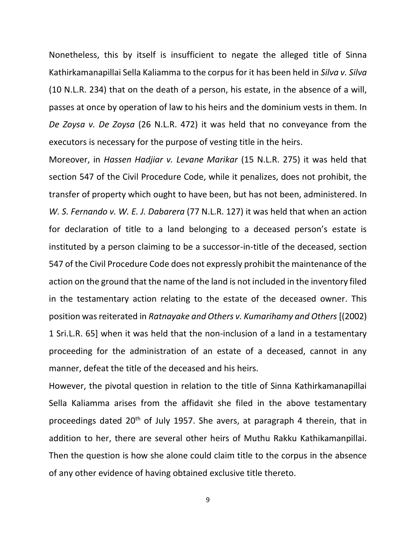Nonetheless, this by itself is insufficient to negate the alleged title of Sinna Kathirkamanapillai Sella Kaliamma to the corpus for it has been held in *Silva v. Silva* (10 N.L.R. 234) that on the death of a person, his estate, in the absence of a will, passes at once by operation of law to his heirs and the dominium vests in them. In *De Zoysa v. De Zoysa* (26 N.L.R. 472) it was held that no conveyance from the executors is necessary for the purpose of vesting title in the heirs.

Moreover, in *Hassen Hadjiar v. Levane Marikar* (15 N.L.R. 275) it was held that section 547 of the Civil Procedure Code, while it penalizes, does not prohibit, the transfer of property which ought to have been, but has not been, administered. In *W. S. Fernando v. W. E. J. Dabarera* (77 N.L.R. 127) it was held that when an action for declaration of title to a land belonging to a deceased person's estate is instituted by a person claiming to be a successor-in-title of the deceased, section 547 of the Civil Procedure Code does not expressly prohibit the maintenance of the action on the ground that the name of the land is not included in the inventory filed in the testamentary action relating to the estate of the deceased owner. This position was reiterated in *Ratnayake and Others v. Kumarihamy and Others* [(2002) 1 Sri.L.R. 65] when it was held that the non-inclusion of a land in a testamentary proceeding for the administration of an estate of a deceased, cannot in any manner, defeat the title of the deceased and his heirs.

However, the pivotal question in relation to the title of Sinna Kathirkamanapillai Sella Kaliamma arises from the affidavit she filed in the above testamentary proceedings dated  $20<sup>th</sup>$  of July 1957. She avers, at paragraph 4 therein, that in addition to her, there are several other heirs of Muthu Rakku Kathikamanpillai. Then the question is how she alone could claim title to the corpus in the absence of any other evidence of having obtained exclusive title thereto.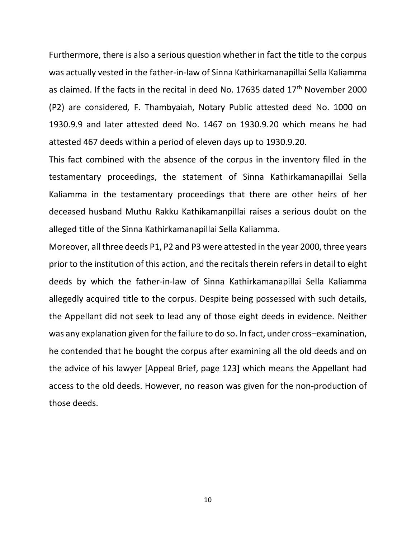Furthermore, there is also a serious question whether in fact the title to the corpus was actually vested in the father-in-law of Sinna Kathirkamanapillai Sella Kaliamma as claimed. If the facts in the recital in deed No. 17635 dated  $17<sup>th</sup>$  November 2000 (P2) are considered*,* F. Thambyaiah, Notary Public attested deed No. 1000 on 1930.9.9 and later attested deed No. 1467 on 1930.9.20 which means he had attested 467 deeds within a period of eleven days up to 1930.9.20.

This fact combined with the absence of the corpus in the inventory filed in the testamentary proceedings, the statement of Sinna Kathirkamanapillai Sella Kaliamma in the testamentary proceedings that there are other heirs of her deceased husband Muthu Rakku Kathikamanpillai raises a serious doubt on the alleged title of the Sinna Kathirkamanapillai Sella Kaliamma.

Moreover, all three deeds P1, P2 and P3 were attested in the year 2000, three years prior to the institution of this action, and the recitals therein refers in detail to eight deeds by which the father-in-law of Sinna Kathirkamanapillai Sella Kaliamma allegedly acquired title to the corpus. Despite being possessed with such details, the Appellant did not seek to lead any of those eight deeds in evidence. Neither was any explanation given for the failure to do so. In fact, under cross–examination, he contended that he bought the corpus after examining all the old deeds and on the advice of his lawyer [Appeal Brief, page 123] which means the Appellant had access to the old deeds. However, no reason was given for the non-production of those deeds.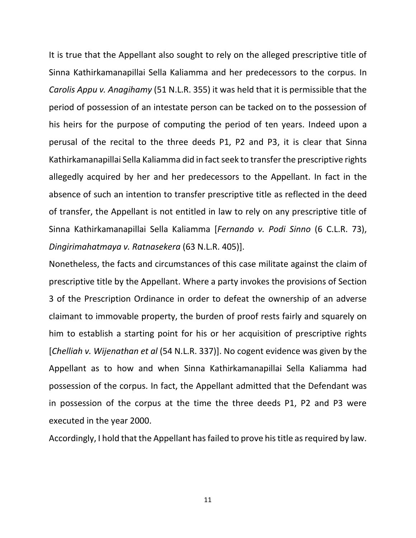It is true that the Appellant also sought to rely on the alleged prescriptive title of Sinna Kathirkamanapillai Sella Kaliamma and her predecessors to the corpus. In *Carolis Appu v. Anagihamy* (51 N.L.R. 355) it was held that it is permissible that the period of possession of an intestate person can be tacked on to the possession of his heirs for the purpose of computing the period of ten years. Indeed upon a perusal of the recital to the three deeds P1, P2 and P3, it is clear that Sinna Kathirkamanapillai Sella Kaliamma did in fact seek to transfer the prescriptive rights allegedly acquired by her and her predecessors to the Appellant. In fact in the absence of such an intention to transfer prescriptive title as reflected in the deed of transfer, the Appellant is not entitled in law to rely on any prescriptive title of Sinna Kathirkamanapillai Sella Kaliamma [*Fernando v. Podi Sinno* (6 C.L.R. 73), *Dingirimahatmaya v. Ratnasekera* (63 N.L.R. 405)].

Nonetheless, the facts and circumstances of this case militate against the claim of prescriptive title by the Appellant. Where a party invokes the provisions of Section 3 of the Prescription Ordinance in order to defeat the ownership of an adverse claimant to immovable property, the burden of proof rests fairly and squarely on him to establish a starting point for his or her acquisition of prescriptive rights [*Chelliah v. Wijenathan et al* (54 N.L.R. 337)]. No cogent evidence was given by the Appellant as to how and when Sinna Kathirkamanapillai Sella Kaliamma had possession of the corpus. In fact, the Appellant admitted that the Defendant was in possession of the corpus at the time the three deeds P1, P2 and P3 were executed in the year 2000.

Accordingly, I hold that the Appellant has failed to prove his title as required by law.